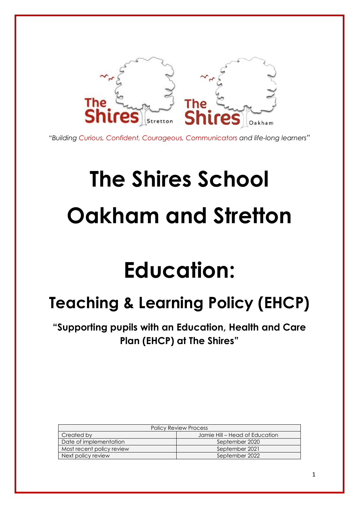

*"Building Curious, Confident, Courageous, Communicators and life-long learners"*

# **The Shires School Oakham and Stretton**

## **Education:**

### **Teaching & Learning Policy (EHCP)**

**"Supporting pupils with an Education, Health and Care Plan (EHCP) at The Shires"**

| <b>Policy Review Process</b> |                                |  |
|------------------------------|--------------------------------|--|
| Created by                   | Jamie Hill – Head of Education |  |
| Date of implementation       | September 2020                 |  |
| Most recent policy review    | September 2021                 |  |
| Next policy review           | September 2022                 |  |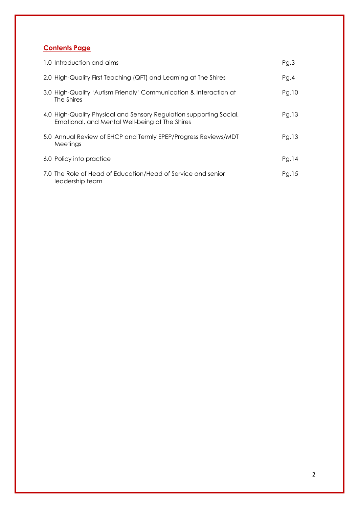#### **Contents Page**

| 1.0 Introduction and aims                                                                                             | Pg.3  |
|-----------------------------------------------------------------------------------------------------------------------|-------|
| 2.0 High-Quality First Teaching (QFT) and Learning at The Shires                                                      | PQ.4  |
| 3.0 High-Quality 'Autism Friendly' Communication & Interaction at<br>The Shires                                       | Pg.10 |
| 4.0 High-Quality Physical and Sensory Regulation supporting Social,<br>Emotional, and Mental Well-being at The Shires | Pg.13 |
| 5.0 Annual Review of EHCP and Termly EPEP/Progress Reviews/MDT<br>Meetings                                            | Pg.13 |
| 6.0 Policy into practice                                                                                              | PQ.14 |
| 7.0 The Role of Head of Education/Head of Service and senior<br>leadership team                                       | Pg.15 |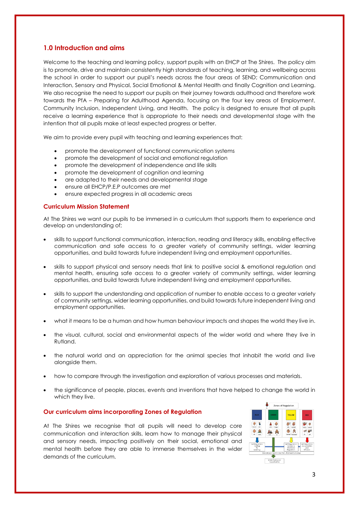#### **1.0 Introduction and aims**

Welcome to the teaching and learning policy, support pupils with an EHCP at The Shires. The policy aim is to promote, drive and maintain consistently high standards of teaching, learning, and wellbeing across the school in order to support our pupil's needs across the four areas of SEND; Communication and Interaction, Sensory and Physical, Social Emotional & Mental Health and finally Cognition and Learning. We also recognise the need to support our pupils on their journey towards adulthood and therefore work towards the PfA – Preparing for Adulthood Agenda, focusing on the four key areas of Employment, Community Inclusion, Independent Living, and Health. The policy is designed to ensure that all pupils receive a learning experience that is appropriate to their needs and developmental stage with the intention that all pupils make at least expected progress or better.

We aim to provide every pupil with teaching and learning experiences that:

- promote the development of functional communication systems
- promote the development of social and emotional regulation
- promote the development of independence and life skills
- promote the development of cognition and learning
- are adapted to their needs and developmental stage
- ensure all EHCP/P.E.P outcomes are met
- ensure expected progress in all academic areas

#### **Curriculum Mission Statement**

At The Shires we want our pupils to be immersed in a curriculum that supports them to experience and develop an understanding of;

- skills to support functional communication, interaction, reading and literacy skills, enabling effective communication and safe access to a greater variety of community settings, wider learning opportunities, and build towards future independent living and employment opportunities.
- skills to support physical and sensory needs that link to positive social & emotional regulation and mental health, ensuring safe access to a greater variety of community settings, wider learning opportunities, and build towards future independent living and employment opportunities.
- skills to support the understanding and application of number to enable access to a greater variety of community settings, wider learning opportunities, and build towards future independent living and employment opportunities.
- what it means to be a human and how human behaviour impacts and shapes the world they live in.
- the visual, cultural, social and environmental aspects of the wider world and where they live in Rutland.
- the natural world and an appreciation for the animal species that inhabit the world and live alongside them.
- how to compare through the investigation and exploration of various processes and materials.
- the significance of people, places, events and inventions that have helped to change the world in which they live.

#### **Our curriculum aims incorporating Zones of Regulation**

At The Shires we recognise that all pupils will need to develop core communication and interaction skills, learn how to manage their physical and sensory needs, impacting positively on their social, emotional and mental health before they are able to immerse themselves in the wider demands of the curriculum.

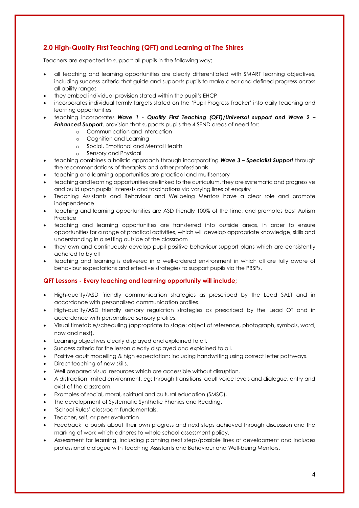#### **2.0 High-Quality First Teaching (QFT) and Learning at The Shires**

Teachers are expected to support all pupils in the following way;

- all teaching and learning opportunities are clearly differentiated with SMART learning objectives, including success criteria that guide and supports pupils to make clear and defined progress across all ability ranges
- they embed individual provision stated within the pupil's EHCP
- incorporates individual termly targets stated on the 'Pupil Progress Tracker' into daily teaching and learning opportunities
- teaching incorporates *Wave 1 - Quality First Teaching (QFT)/Universal support and Wave 2 – Enhanced Support*, provision that supports pupils the 4 SEND areas of need for:
	- Communication and Interaction
	- o Cognition and Learning
	- o Social, Emotional and Mental Health
	- o Sensory and Physical
- teaching combines a holistic approach through incorporating *Wave 3 – Specialist Support* through the recommendations of therapists and other professionals
- teaching and learning opportunities are practical and multisensory
- teaching and learning opportunities are linked to the curriculum, they are systematic and progressive and build upon pupils' interests and fascinations via varying lines of enquiry
- Teaching Assistants and Behaviour and Wellbeing Mentors have a clear role and promote independence
- teaching and learning opportunities are ASD friendly 100% of the time, and promotes best Autism **Practice**
- teaching and learning opportunities are transferred into outside areas, in order to ensure opportunities for a range of practical activities, which will develop appropriate knowledge, skills and understanding in a setting outside of the classroom
- they own and continuously develop pupil positive behaviour support plans which are consistently adhered to by all
- teaching and learning is delivered in a well-ordered environment in which all are fully aware of behaviour expectations and effective strategies to support pupils via the PBSPs.

#### **QFT Lessons - Every teaching and learning opportunity will include;**

- High-quality/ASD friendly communication strategies as prescribed by the Lead SALT and in accordance with personalised communication profiles.
- High-quality/ASD friendly sensory regulation strategies as prescribed by the Lead OT and in accordance with personalised sensory profiles.
- Visual timetable/scheduling (appropriate to stage: object of reference, photograph, symbols, word, now and next).
- Learning objectives clearly displayed and explained to all.
- Success criteria for the lesson clearly displayed and explained to all.
- Positive adult modelling & high expectation; including handwriting using correct letter pathways.
- Direct teaching of new skills.
- Well prepared visual resources which are accessible without disruption.
- A distraction limited environment, eg: through transitions, adult voice levels and dialogue, entry and exist of the classroom.
- Examples of social, moral, spiritual and cultural education (SMSC).
- The development of Systematic Synthetic Phonics and Reading.
- 'School Rules' classroom fundamentals.
- Teacher, self, or peer evaluation
- Feedback to pupils about their own progress and next steps achieved through discussion and the marking of work which adheres to whole school assessment policy.
- Assessment for learning, including planning next steps/possible lines of development and includes professional dialogue with Teaching Assistants and Behaviour and Well-being Mentors.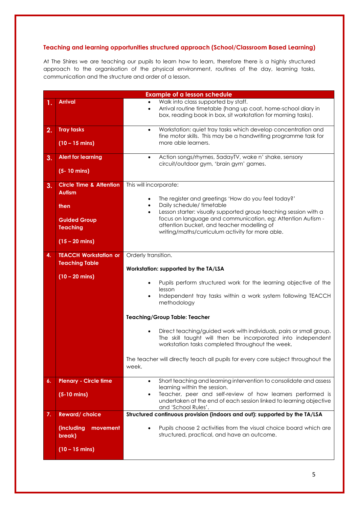#### **Teaching and learning opportunities structured approach (School/Classroom Based Learning)**

At The Shires we are teaching our pupils to learn how to learn, therefore there is a highly structured approach to the organisation of the physical environment, routines of the day, learning tasks, communication and the structure and order of a lesson.

| <b>Example of a lesson schedule</b> |                                                                                                                           |                                                                                                                                                                                                                                                                                                                                                                           |  |
|-------------------------------------|---------------------------------------------------------------------------------------------------------------------------|---------------------------------------------------------------------------------------------------------------------------------------------------------------------------------------------------------------------------------------------------------------------------------------------------------------------------------------------------------------------------|--|
| 1.                                  | <b>Arrival</b>                                                                                                            | Walk into class supported by staff.<br>Arrival routine timetable (hang up coat, home-school diary in<br>$\bullet$<br>box, reading book in box, sit workstation for morning tasks).                                                                                                                                                                                        |  |
| 2.                                  | <b>Tray tasks</b><br>$(10 - 15 \text{ mins})$                                                                             | Workstation: quiet tray tasks which develop concentration and<br>$\bullet$<br>fine motor skills. This may be a handwriting programme task for<br>more able learners.                                                                                                                                                                                                      |  |
| 3.                                  | <b>Alert for learning</b><br>$(5 - 10 \text{ mins})$                                                                      | Action songs/rhymes, 5adayTV, wake n' shake, sensory<br>$\bullet$<br>circuit/outdoor gym, 'brain gym' games.                                                                                                                                                                                                                                                              |  |
| 3.                                  | <b>Circle Time &amp; Attention</b><br><b>Autism</b><br>then<br><b>Guided Group</b><br><b>Teaching</b><br>$(15 - 20$ mins) | This will incorporate:<br>The register and greetings 'How do you feel today?'<br>Daily schedule/ timetable<br>$\bullet$<br>Lesson starter: visually supported group teaching session with a<br>$\bullet$<br>focus on language and communication, eg: Attention Autism -<br>attention bucket, and teacher modelling of<br>writing/maths/curriculum activity for more able. |  |
| 4.                                  | <b>TEACCH Workstation or</b><br><b>Teaching Table</b><br>$(10 - 20$ mins)                                                 | Orderly transition.<br>Workstation: supported by the TA/LSA<br>Pupils perform structured work for the learning objective of the<br>lesson<br>Independent tray tasks within a work system following TEACCH<br>$\bullet$<br>methodology                                                                                                                                     |  |
|                                     |                                                                                                                           | <b>Teaching/Group Table: Teacher</b><br>Direct teaching/guided work with individuals, pairs or small group.                                                                                                                                                                                                                                                               |  |
|                                     |                                                                                                                           | The skill taught will then be incorporated into independent<br>workstation tasks completed throughout the week.<br>The teacher will directly teach all pupils for every core subject throughout the<br>week.                                                                                                                                                              |  |
| 6.                                  | <b>Plenary - Circle time</b>                                                                                              | Short teaching and learning intervention to consolidate and assess<br>$\bullet$<br>learning within the session.                                                                                                                                                                                                                                                           |  |
|                                     | $(5-10 \text{ mins})$                                                                                                     | Teacher, peer and self-review of how learners performed is<br>undertaken at the end of each session linked to learning objective<br>and 'School Rules'.                                                                                                                                                                                                                   |  |
| 7.                                  | <b>Reward/choice</b>                                                                                                      | Structured continuous provision (indoors and out): supported by the TA/LSA                                                                                                                                                                                                                                                                                                |  |
|                                     | (including<br>movement<br>break)                                                                                          | Pupils choose 2 activities from the visual choice board which are<br>structured, practical, and have an outcome.                                                                                                                                                                                                                                                          |  |
|                                     | $(10 - 15 \text{ mins})$                                                                                                  |                                                                                                                                                                                                                                                                                                                                                                           |  |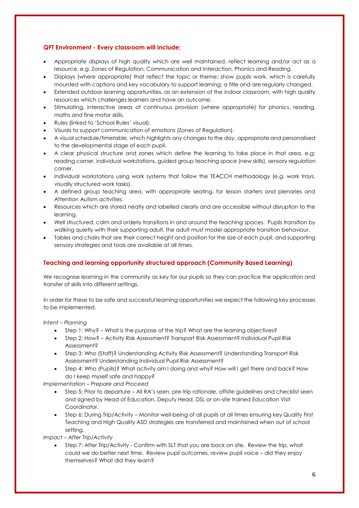#### **QFT Environment - Every classroom will include;**

- Appropriate displays of high quality which are well maintained, reflect learning and/or act as a resource, e.g. Zones of Regulation, Communication and Interaction, Phonics and Reading.
- Displays (where appropriate) that reflect the topic or theme; show pupils work, which is carefully mounted with captions and key vocabulary to support learning; a title and are regularly changed.
- Extended outdoor learning opportunities, as an extension of the indoor classroom, with high quality resources which challenges learners and have an outcome.
- Stimulating, interactive areas of continuous provision (where appropriate) for phonics, reading, maths and fine motor skills.
- Rules (linked to 'School Rules' visual).
- Visuals to support communication of emotions (Zones of Regulation).
- A visual schedule/timetable, which highlights any changes to the day, appropriate and personalised to the developmental stage of each pupil.
- A clear physical structure and zones which define the learning to take place in that area, e.g: reading corner, individual workstations, guided group teaching space (new skills), sensory regulation corner.
- Individual workstations using work systems that follow the TEACCH methodology (e.g. work trays, visually structured work tasks).
- A defined group teaching area, with appropriate seating, for lesson starters and plenaries and Attention Autism activities.
- Resources which are stored neatly and labelled clearly and are accessible without disruption to the learning.
- Well structured, calm and orderly transitions in and around the teaching spaces. Pupils transition by walking quietly with their supporting adult, the adult must model appropriate transition behaviour.
- Tables and chairs that are their correct height and position for the size of each pupil, and supporting sensory strategies and tools are available at all times.

#### **Teaching and learning opportunity structured approach (Community Based Learning)**

We recognise learning in the community as key for our pupils so they can practice the application and transfer of skills into different settings.

In order for these to be safe and successful learning opportunities we expect the following key processes to be implemented.

*Intent – Planning*

- Step 1: Why? What is the purpose of the trip? What are the learning objectives?
- Step 2: How? Activity Risk Assessment? Transport Risk Assessment? Individual Pupil Risk Assessment?
- Step 3: Who (Staff)? Understanding Activity Risk Assessment? Understanding Transport Risk Assessment? Understanding Individual Pupil Risk Assessment?
- Step 4: Who (Pupils)? What activity am I doing and why? How will I get there and back? How do I keep myself safe and happy?

*Implementation – Prepare and Proceed*

- Step 5: Prior to departure All RA's seen, pre-trip rationale, offsite guidelines and checklist seen and signed by Head of Education, Deputy Head, DSL or on-site trained Education Visit Coordinator.
- Step 6: During Trip/Activity Monitor well-being of all pupils at all times ensuring key Quality First Teaching and High Quality ASD strategies are transferred and maintained when out of school setting.

*Impact – After Trip/Activity*

• Step 7: After Trip/Activity - Confirm with SLT that you are back on site. Review the trip, what could we do better next time. Review pupil outcomes, review pupil voice – did they enjoy themselves? What did they learn?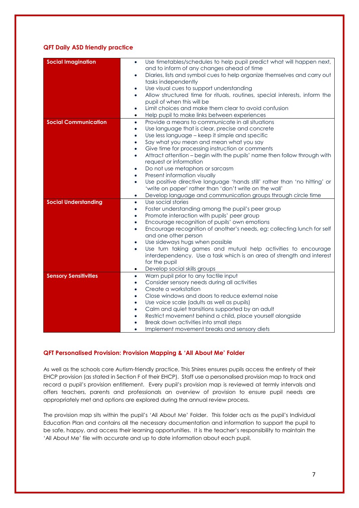#### **QFT Daily ASD friendly practice**

| <b>Social Imagination</b>    | Use timetables/schedules to help pupil predict what will happen next,<br>$\bullet$<br>and to inform of any changes ahead of time |
|------------------------------|----------------------------------------------------------------------------------------------------------------------------------|
|                              | Diaries, lists and symbol cues to help organize themselves and carry out<br>٠<br>tasks independently                             |
|                              | Use visual cues to support understanding<br>$\bullet$                                                                            |
|                              | Allow structured time for rituals, routines, special interests, inform the<br>$\bullet$                                          |
|                              | pupil of when this will be                                                                                                       |
|                              | Limit choices and make them clear to avoid confusion<br>$\bullet$                                                                |
|                              | Help pupil to make links between experiences<br>$\bullet$                                                                        |
| <b>Social Communication</b>  | Provide a means to communicate in all situations<br>$\bullet$                                                                    |
|                              | Use language that is clear, precise and concrete<br>$\bullet$                                                                    |
|                              | Use less language - keep it simple and specific<br>$\bullet$                                                                     |
|                              | Say what you mean and mean what you say<br>$\bullet$                                                                             |
|                              | Give time for processing instruction or comments<br>$\bullet$                                                                    |
|                              | Attract attention - begin with the pupils' name then follow through with<br>$\bullet$                                            |
|                              | request or information                                                                                                           |
|                              | Do not use metaphors or sarcasm<br>$\bullet$                                                                                     |
|                              | Present information visually<br>$\bullet$                                                                                        |
|                              | Use positive directive language 'hands still' rather than 'no hitting' or<br>$\bullet$                                           |
|                              | 'write on paper' rather than 'don't write on the wall'                                                                           |
|                              | Develop language and communication groups through circle time<br>$\bullet$                                                       |
| <b>Social Understanding</b>  | Use social stories<br>$\bullet$                                                                                                  |
|                              | Foster understanding among the pupil's peer group<br>$\bullet$                                                                   |
|                              | Promote interaction with pupils' peer group<br>$\bullet$                                                                         |
|                              | Encourage recognition of pupils' own emotions<br>$\bullet$                                                                       |
|                              | Encourage recognition of another's needs, eg: collecting lunch for self<br>$\bullet$                                             |
|                              | and one other person<br>Use sideways hugs when possible                                                                          |
|                              | $\bullet$<br>Use turn taking games and mutual help activities to encourage<br>$\bullet$                                          |
|                              | interdependency. Use a task which is an area of strength and interest                                                            |
|                              | for the pupil                                                                                                                    |
|                              | Develop social skills groups<br>٠                                                                                                |
| <b>Sensory Sensitivities</b> | Warn pupil prior to any tactile input<br>$\bullet$                                                                               |
|                              | Consider sensory needs during all activities<br>$\bullet$                                                                        |
|                              | Create a workstation<br>$\bullet$                                                                                                |
|                              | Close windows and doors to reduce external noise<br>$\bullet$                                                                    |
|                              | Use voice scale (adults as well as pupils)<br>$\bullet$                                                                          |
|                              | Calm and quiet transitions supported by an adult<br>$\bullet$                                                                    |
|                              | Restrict movement behind a child, place yourself alongside<br>$\bullet$                                                          |
|                              | Break down activities into small steps<br>$\bullet$                                                                              |
|                              | Implement movement breaks and sensory diets                                                                                      |

#### **QFT Personalised Provision: Provision Mapping & 'All About Me' Folder**

As well as the schools core Autism-friendly practice, This Shires ensures pupils access the entirety of their EHCP provision (as stated in Section F of their EHCP). Staff use a personalised provision map to track and record a pupil's provision entitlement. Every pupil's provision map is reviewed at termly intervals and offers teachers, parents and professionals an overview of provision to ensure pupil needs are appropriately met and options are explored during the annual review process.

The provision map sits within the pupil's 'All About Me' Folder. This folder acts as the pupil's Individual Education Plan and contains all the necessary documentation and information to support the pupil to be safe, happy, and access their learning opportunities. It is the teacher's responsibility to maintain the 'All About Me' file with accurate and up to date information about each pupil.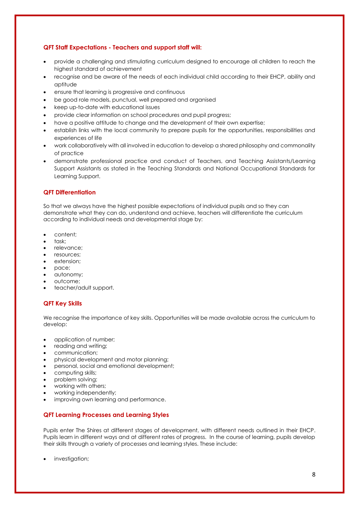#### **QFT Staff Expectations - Teachers and support staff will:**

- provide a challenging and stimulating curriculum designed to encourage all children to reach the highest standard of achievement
- recognise and be aware of the needs of each individual child according to their EHCP, ability and aptitude
- ensure that learning is progressive and continuous
- be good role models, punctual, well prepared and organised
- keep up-to-date with educational issues
- provide clear information on school procedures and pupil progress;
- have a positive attitude to change and the development of their own expertise;
- establish links with the local community to prepare pupils for the opportunities, responsibilities and experiences of life
- work collaboratively with all involved in education to develop a shared philosophy and commonality of practice
- demonstrate professional practice and conduct of Teachers, and Teaching Assistants/Learning Support Assistants as stated in the Teaching Standards and National Occupational Standards for Learning Support.

#### **QFT Differentiation**

So that we always have the highest possible expectations of individual pupils and so they can demonstrate what they can do, understand and achieve, teachers will differentiate the curriculum according to individual needs and developmental stage by:

- content;
- task;
- relevance;
- resources;
- extension:
- pace;
- autonomy;
- outcome;
- teacher/adult support.

#### **QFT Key Skills**

We recognise the importance of key skills. Opportunities will be made available across the curriculum to develop:

- application of number;
- reading and writing;
- communication;
- physical development and motor planning;
- personal, social and emotional development;
- computing skills;
- problem solving;
- working with others;
- working independently;
- improving own learning and performance.

#### **QFT Learning Processes and Learning Styles**

Pupils enter The Shires at different stages of development, with different needs outlined in their EHCP. Pupils learn in different ways and at different rates of progress. In the course of learning, pupils develop their skills through a variety of processes and learning styles. These include:

investigation;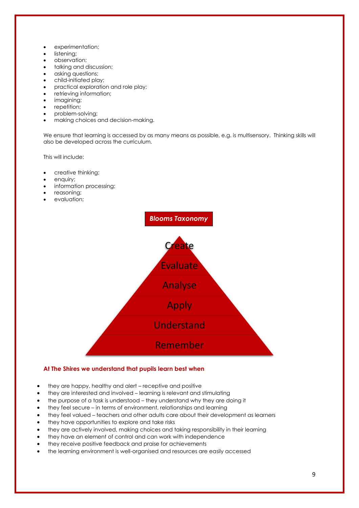- experimentation;
- listening;
- observation;
- talking and discussion;
- asking questions;
- child-initiated play;
- practical exploration and role play;
- retrieving information;
- imagining;
- repetition;
- problem-solving;
- making choices and decision-making.

We ensure that learning is accessed by as many means as possible, e.g. is multisensory. Thinking skills will also be developed across the curriculum.

This will include:

- creative thinking;
- enquiry;
- information processing;
- reasoning;
- evaluation;



#### **At The Shires we understand that pupils learn best when**

- they are happy, healthy and alert receptive and positive
- they are interested and involved learning is relevant and stimulating
- the purpose of a task is understood they understand why they are doing it
- they feel secure in terms of environment, relationships and learning
- they feel valued teachers and other adults care about their development as learners
- they have opportunities to explore and take risks
- they are actively involved, making choices and taking responsibility in their learning
- they have an element of control and can work with independence
- they receive positive feedback and praise for achievements
- the learning environment is well-organised and resources are easily accessed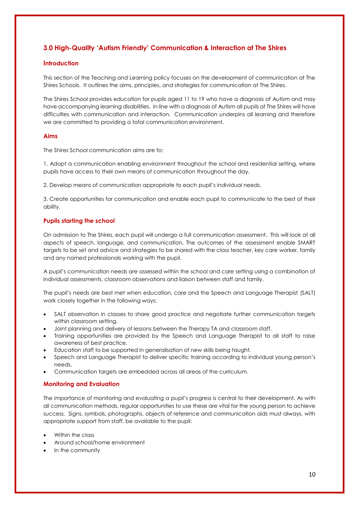#### **3.0 High-Quality 'Autism Friendly' Communication & Interaction at The Shires**

#### **Introduction**

This section of the Teaching and Learning policy focuses on the development of communication at The Shires Schools. It outlines the aims, principles, and strategies for communication at The Shires.

The Shires School provides education for pupils aged 11 to 19 who have a diagnosis of Autism and may have accompanying learning disabilities. In line with a diagnosis of Autism all pupils at The Shires will have difficulties with communication and interaction. Communication underpins all learning and therefore we are committed to providing a total communication environment.

#### **Aims**

The Shires School communication aims are to:

1. Adopt a communication enabling environment throughout the school and residential setting, where pupils have access to their own means of communication throughout the day.

2. Develop means of communication appropriate to each pupil's individual needs.

3. Create opportunities for communication and enable each pupil to communicate to the best of their ability.

#### **Pupils starting the school**

On admission to The Shires, each pupil will undergo a full communication assessment. This will look at all aspects of speech, language, and communication. The outcomes of the assessment enable SMART targets to be set and advice and strategies to be shared with the class teacher, key care worker, family and any named professionals working with the pupil.

A pupil's communication needs are assessed within the school and care setting using a combination of individual assessments, classroom observations and liaison between staff and family.

The pupil's needs are best met when education, care and the Speech and Language Therapist (SALT) work closely together in the following ways:

- SALT observation in classes to share good practice and negotiate further communication targets within classroom setting.
- Joint planning and delivery of lessons between the Therapy TA and classroom staff.
- Training opportunities are provided by the Speech and Language Therapist to all staff to raise awareness of best practice.
- Education staff to be supported in generalisation of new skills being taught.
- Speech and Language Therapist to deliver specific training according to individual young person's needs.
- Communication targets are embedded across all areas of the curriculum.

#### **Monitoring and Evaluation**

The importance of monitoring and evaluating a pupil's progress is central to their development. As with all communication methods, regular opportunities to use these are vital for the young person to achieve success. Signs, symbols, photographs, objects of reference and communication aids must always, with appropriate support from staff, be available to the pupil:

- Within the class
- Around school/home environment
- In the community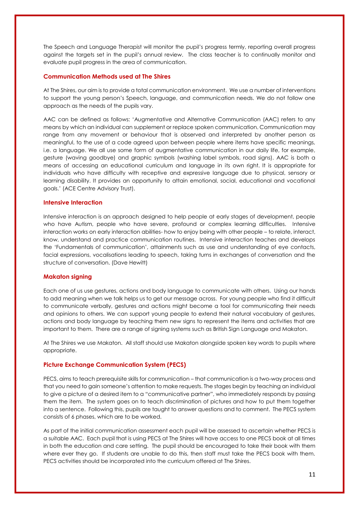The Speech and Language Therapist will monitor the pupil's progress termly, reporting overall progress against the targets set in the pupil's annual review. The class teacher is to continually monitor and evaluate pupil progress in the area of communication.

#### **Communication Methods used at The Shires**

At The Shires, our aim is to provide a total communication environment. We use a number of interventions to support the young person's Speech, language, and communication needs. We do not follow one approach as the needs of the pupils vary.

AAC can be defined as follows: 'Augmentative and Alternative Communication (AAC) refers to any means by which an individual can supplement or replace spoken communication. Communication may range from any movement or behaviour that is observed and interpreted by another person as meaningful, to the use of a code agreed upon between people where items have specific meanings, i.e. a language. We all use some form of augmentative communication in our daily life, for example, gesture (waving goodbye) and graphic symbols (washing label symbols, road signs). AAC is both a means of accessing an educational curriculum and language in its own right. It is appropriate for individuals who have difficulty with receptive and expressive language due to physical, sensory or learning disability. It provides an opportunity to attain emotional, social, educational and vocational goals.' (ACE Centre Advisory Trust).

#### **Intensive Interaction**

Intensive interaction is an approach designed to help people at early stages of development, people who have Autism, people who have severe, profound or complex learning difficulties. Intensive interaction works on early interaction abilities- how to enjoy being with other people – to relate, interact, know, understand and practice communication routines. Intensive interaction teaches and develops the 'Fundamentals of communication', attainments such as use and understanding of eye contacts, facial expressions, vocalisations leading to speech, taking turns in exchanges of conversation and the structure of conversation. (Dave Hewitt)

#### **Makaton signing**

Each one of us use gestures, actions and body language to communicate with others. Using our hands to add meaning when we talk helps us to get our message across. For young people who find it difficult to communicate verbally, gestures and actions might become a tool for communicating their needs and opinions to others. We can support young people to extend their natural vocabulary of gestures, actions and body language by teaching them new signs to represent the items and activities that are important to them. There are a range of signing systems such as British Sign Language and Makaton.

At The Shires we use Makaton. All staff should use Makaton alongside spoken key words to pupils where appropriate.

#### **Picture Exchange Communication System (PECS)**

PECS, aims to teach prerequisite skills for communication – that communication is a two-way process and that you need to gain someone's attention to make requests. The stages begin by teaching an individual to give a picture of a desired item to a "communicative partner", who immediately responds by passing them the item. The system goes on to teach discrimination of pictures and how to put them together into a sentence. Following this, pupils are taught to answer questions and to comment. The PECS system consists of 6 phases, which are to be worked.

As part of the initial communication assessment each pupil will be assessed to ascertain whether PECS is a suitable AAC. Each pupil that is using PECS at The Shires will have access to one PECS book at all times in both the education and care setting. The pupil should be encouraged to take their book with them where ever they go. If students are unable to do this, then staff must take the PECS book with them. PECS activities should be incorporated into the curriculum offered at The Shires.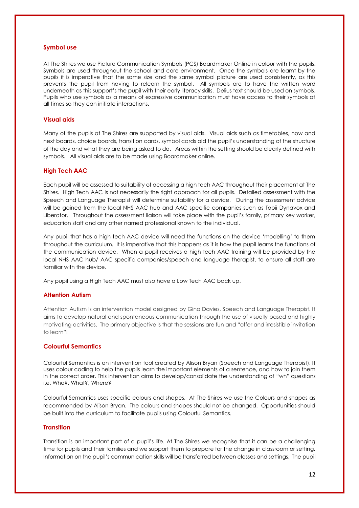#### **Symbol use**

At The Shires we use Picture Communication Symbols (PCS) Boardmaker Online in colour with the pupils. Symbols are used throughout the school and care environment. Once the symbols are learnt by the pupils it is imperative that the same size and the same symbol picture are used consistently, as this prevents the pupil from having to relearn the symbol. All symbols are to have the written word underneath as this support's the pupil with their early literacy skills. Delius text should be used on symbols. Pupils who use symbols as a means of expressive communication must have access to their symbols at all times so they can initiate interactions.

#### **Visual aids**

Many of the pupils at The Shires are supported by visual aids. Visual aids such as timetables, now and next boards, choice boards, transition cards, symbol cards aid the pupil's understanding of the structure of the day and what they are being asked to do. Areas within the setting should be clearly defined with symbols. All visual aids are to be made using Boardmaker online.

#### **High Tech AAC**

Each pupil will be assessed to suitability of accessing a high tech AAC throughout their placement at The Shires. High Tech AAC is not necessarily the right approach for all pupils. Detailed assessment with the Speech and Language Therapist will determine suitability for a device. During the assessment advice will be gained from the local NHS AAC hub and AAC specific companies such as Tobii Dynavox and Liberator. Throughout the assessment liaison will take place with the pupil's family, primary key worker, education staff and any other named professional known to the individual.

Any pupil that has a high tech AAC device will need the functions on the device 'modelling' to them throughout the curriculum. It is imperative that this happens as it is how the pupil learns the functions of the communication device. When a pupil receives a high tech AAC training will be provided by the local NHS AAC hub/ AAC specific companies/speech and language therapist, to ensure all staff are familiar with the device.

Any pupil using a High Tech AAC must also have a Low Tech AAC back up.

#### **Attention Autism**

Attention Autism is an intervention model designed by Gina Davies, Speech and Language Therapist. It aims to develop natural and spontaneous communication through the use of visually based and highly motivating activities. The primary objective is that the sessions are fun and "offer and irresistible invitation to learn"!

#### **Colourful Semantics**

Colourful Semantics is an intervention tool created by Alison Bryan (Speech and Language Therapist). It uses colour coding to help the pupils learn the important elements of a sentence, and how to join them in the correct order. This intervention aims to develop/consolidate the understanding of "wh" questions i.e. Who?, What?, Where?

Colourful Semantics uses specific colours and shapes. At The Shires we use the Colours and shapes as recommended by Alison Bryan. The colours and shapes should not be changed. Opportunities should be built into the curriculum to facilitate pupils using Colourful Semantics.

#### **Transition**

Transition is an important part of a pupil's life. At The Shires we recognise that it can be a challenging time for pupils and their families and we support them to prepare for the change in classroom or setting. Information on the pupil's communication skills will be transferred between classes and settings. The pupil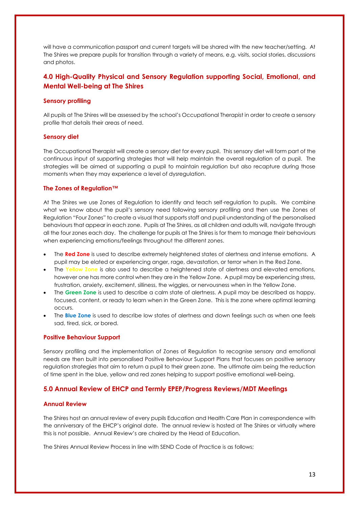will have a communication passport and current targets will be shared with the new teacher/setting. At The Shires we prepare pupils for transition through a variety of means, e.g. visits, social stories, discussions and photos.

#### **4.0 High-Quality Physical and Sensory Regulation supporting Social, Emotional, and Mental Well-being at The Shires**

#### **Sensory profiling**

All pupils at The Shires will be assessed by the school's Occupational Therapist in order to create a sensory profile that details their areas of need.

#### **Sensory diet**

The Occupational Therapist will create a sensory diet for every pupil. This sensory diet will form part of the continuous input of supporting strategies that will help maintain the overall regulation of a pupil. The strategies will be aimed at supporting a pupil to maintain regulation but also recapture during those moments when they may experience a level of dysregulation.

#### **The Zones of Regulation™**

At The Shires we use Zones of Regulation to identify and teach self-regulation to pupils. We combine what we know about the pupil's sensory need following sensory profiling and then use the Zones of Regulation "Four Zones" to create a visual that supports staff and pupil understanding of the personalised behaviours that appear in each zone. Pupils at The Shires, as all children and adults will, navigate through all the four zones each day. The challenge for pupils at The Shires is for them to manage their behaviours when experiencing emotions/feelings throughout the different zones.

- The **Red Zone** is used to describe extremely heightened states of alertness and intense emotions. A pupil may be elated or experiencing anger, rage, devastation, or terror when in the Red Zone.
- The **Yellow Zone** is also used to describe a heightened state of alertness and elevated emotions, however one has more control when they are in the Yellow Zone. A pupil may be experiencing stress, frustration, anxiety, excitement, silliness, the wiggles, or nervousness when in the Yellow Zone.
- The **Green Zone** is used to describe a calm state of alertness. A pupil may be described as happy, focused, content, or ready to learn when in the Green Zone. This is the zone where optimal learning occurs.
- The **Blue Zone** is used to describe low states of alertness and down feelings such as when one feels sad, tired, sick, or bored.

#### **Positive Behaviour Support**

Sensory profiling and the implementation of Zones of Regulation to recognise sensory and emotional needs are then built into personalised Positive Behaviour Support Plans that focuses on positive sensory regulation strategies that aim to return a pupil to their green zone. The ultimate aim being the reduction of time spent in the blue, yellow and red zones helping to support positive emotional well-being.

#### **5.0 Annual Review of EHCP and Termly EPEP/Progress Reviews/MDT Meetings**

#### **Annual Review**

The Shires host an annual review of every pupils Education and Health Care Plan in correspondence with the anniversary of the EHCP's original date. The annual review is hosted at The Shires or virtually where this is not possible. Annual Review's are chaired by the Head of Education.

The Shires Annual Review Process in line with SEND Code of Practice is as follows;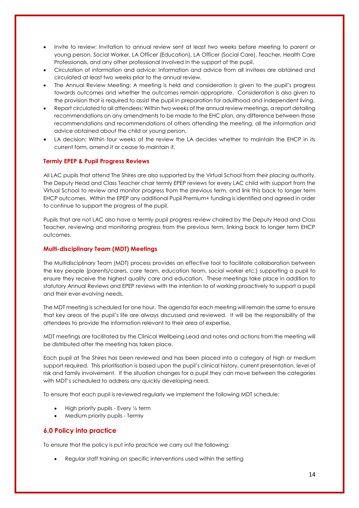- Invite to review: Invitation to annual review sent at least two weeks before meeting to parent or young person, Social Worker, LA Officer (Education), LA Officer (Social Care), Teacher, Health Care Professionals, and any other professional involved in the support of the pupil.
- Circulation of information and advice: Information and advice from all invitees are obtained and circulated at least two weeks prior to the annual review.
- The Annual Review Meeting: A meeting is held and consideration is given to the pupil's progress towards outcomes and whether the outcomes remain appropriate. Consideration is also given to the provision that is required to assist the pupil in preparation for adulthood and independent living.
- Report circulated to all attendees: Within two weeks of the annual review meetings, a report detailing recommendations on any amendments to be made to the EHC plan, any difference between those recommendations and recommendations of others attending the meeting, all the information and advice obtained about the child or young person.
- LA decision: Within four weeks of the review the LA decides whether to maintain the EHCP in its current form, amend it or cease to maintain it.

#### **Termly EPEP & Pupil Progress Reviews**

All LAC pupils that attend The Shires are also supported by the Virtual School from their placing authority. The Deputy Head and Class Teacher chair termly EPEP reviews for every LAC child with support from the Virtual School to review and monitor progress from the previous term, and link this back to longer term EHCP outcomes. Within the EPEP any additional Pupil Premium+ funding is identified and agreed in order to continue to support the progress of the pupil.

Pupils that are not LAC also have a termly pupil progress review chaired by the Deputy Head and Class Teacher, reviewing and monitoring progress from the previous term, linking back to longer term EHCP outcomes.

#### **Multi-disciplinary Team (MDT) Meetings**

The Multidisciplinary Team (MDT) process provides an effective tool to facilitate collaboration between the key people (parents/carers, care team, education team, social worker etc.) supporting a pupil to ensure they receive the highest quality care and education. These meetings take place in addition to statutory Annual Reviews and EPEP reviews with the intention to of working proactively to support a pupil and their ever-evolving needs.

The MDT meeting is scheduled for one hour. The agenda for each meeting will remain the same to ensure that key areas of the pupil's life are always discussed and reviewed. It will be the responsibility of the attendees to provide the information relevant to their area of expertise.

MDT meetings are facilitated by the Clinical Wellbeing Lead and notes and actions from the meeting will be distributed after the meeting has taken place.

Each pupil at The Shires has been reviewed and has been placed into a category of high or medium support required. This prioritisation is based upon the pupil's clinical history, current presentation, level of risk and family involvement. If the situation changes for a pupil they can move between the categories with MDT's scheduled to address any quickly developing need.

To ensure that each pupil is reviewed regularly we implement the following MDT schedule;

- High priority pupils Every ½ term
- Medium priority pupils Termly

#### **6.0 Policy into practice**

To ensure that the policy is put into practice we carry out the following:

• Regular staff training on specific interventions used within the setting